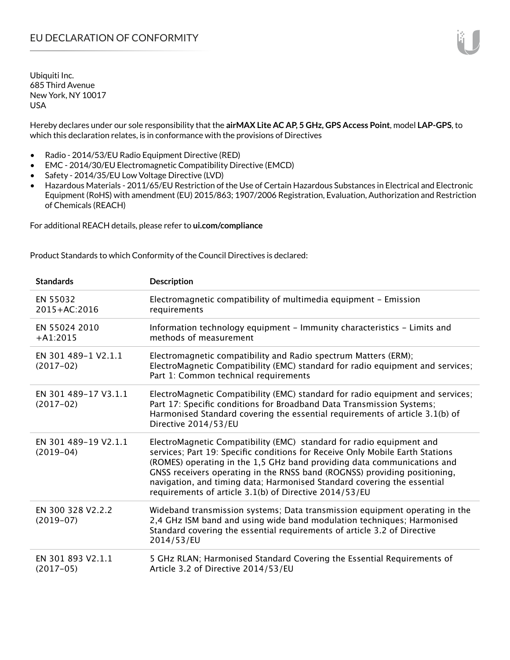Hereby declares under our sole responsibility that the **airMAX Lite AC AP, 5 GHz, GPS Access Point**, model **LAP-GPS**, to which this declaration relates, is in conformance with the provisions of Directives

- Radio 2014/53/EU Radio Equipment Directive (RED)
- EMC 2014/30/EU Electromagnetic Compatibility Directive (EMCD)
- Safety 2014/35/EU Low Voltage Directive (LVD)
- Hazardous Materials 2011/65/EU Restriction of the Use of Certain Hazardous Substances in Electrical and Electronic Equipment (RoHS) with amendment (EU) 2015/863; 1907/2006 Registration, Evaluation, Authorization and Restriction of Chemicals (REACH)

For additional REACH details, please refer to **ui.com/compliance**

Product Standards to which Conformity of the Council Directives is declared:

| <b>Standards</b>                    | <b>Description</b>                                                                                                                                                                                                                                                                                                                                                                                                                                 |
|-------------------------------------|----------------------------------------------------------------------------------------------------------------------------------------------------------------------------------------------------------------------------------------------------------------------------------------------------------------------------------------------------------------------------------------------------------------------------------------------------|
| EN 55032<br>2015+AC:2016            | Electromagnetic compatibility of multimedia equipment - Emission<br>requirements                                                                                                                                                                                                                                                                                                                                                                   |
| EN 55024 2010<br>$+A1:2015$         | Information technology equipment - Immunity characteristics - Limits and<br>methods of measurement                                                                                                                                                                                                                                                                                                                                                 |
| EN 301 489-1 V2.1.1<br>$(2017-02)$  | Electromagnetic compatibility and Radio spectrum Matters (ERM);<br>ElectroMagnetic Compatibility (EMC) standard for radio equipment and services;<br>Part 1: Common technical requirements                                                                                                                                                                                                                                                         |
| EN 301 489-17 V3.1.1<br>$(2017-02)$ | ElectroMagnetic Compatibility (EMC) standard for radio equipment and services;<br>Part 17: Specific conditions for Broadband Data Transmission Systems;<br>Harmonised Standard covering the essential requirements of article 3.1(b) of<br>Directive 2014/53/EU                                                                                                                                                                                    |
| EN 301 489-19 V2.1.1<br>$(2019-04)$ | ElectroMagnetic Compatibility (EMC) standard for radio equipment and<br>services; Part 19: Specific conditions for Receive Only Mobile Earth Stations<br>(ROMES) operating in the 1,5 GHz band providing data communications and<br>GNSS receivers operating in the RNSS band (ROGNSS) providing positioning,<br>navigation, and timing data; Harmonised Standard covering the essential<br>requirements of article 3.1(b) of Directive 2014/53/EU |
| EN 300 328 V2.2.2<br>$(2019-07)$    | Wideband transmission systems; Data transmission equipment operating in the<br>2,4 GHz ISM band and using wide band modulation techniques; Harmonised<br>Standard covering the essential requirements of article 3.2 of Directive<br>2014/53/EU                                                                                                                                                                                                    |
| EN 301 893 V2.1.1<br>$(2017-05)$    | 5 GHz RLAN; Harmonised Standard Covering the Essential Requirements of<br>Article 3.2 of Directive 2014/53/EU                                                                                                                                                                                                                                                                                                                                      |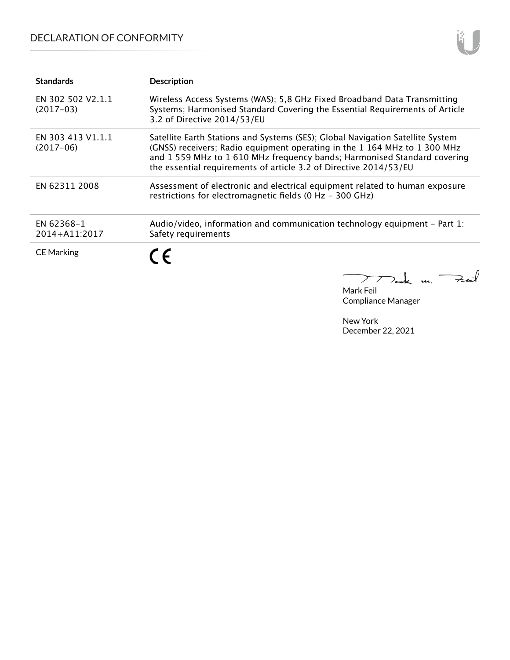## DECLARATION OF CONFORMITY

| <b>Standards</b>                 | <b>Description</b>                                                                                                                                                                                                                                                                                           |
|----------------------------------|--------------------------------------------------------------------------------------------------------------------------------------------------------------------------------------------------------------------------------------------------------------------------------------------------------------|
| EN 302 502 V2.1.1<br>$(2017-03)$ | Wireless Access Systems (WAS); 5,8 GHz Fixed Broadband Data Transmitting<br>Systems; Harmonised Standard Covering the Essential Requirements of Article<br>3.2 of Directive 2014/53/EU                                                                                                                       |
| EN 303 413 V1.1.1<br>$(2017-06)$ | Satellite Earth Stations and Systems (SES); Global Navigation Satellite System<br>(GNSS) receivers; Radio equipment operating in the 1 164 MHz to 1 300 MHz<br>and 1 559 MHz to 1 610 MHz frequency bands; Harmonised Standard covering<br>the essential requirements of article 3.2 of Directive 2014/53/EU |
| EN 62311 2008                    | Assessment of electronic and electrical equipment related to human exposure<br>restrictions for electromagnetic fields (0 Hz - 300 GHz)                                                                                                                                                                      |
| EN 62368-1<br>2014+A11:2017      | Audio/video, information and communication technology equipment – Part 1:<br>Safety requirements                                                                                                                                                                                                             |
| <b>CE Marking</b>                | C E                                                                                                                                                                                                                                                                                                          |

Mark Feil Compliance Manager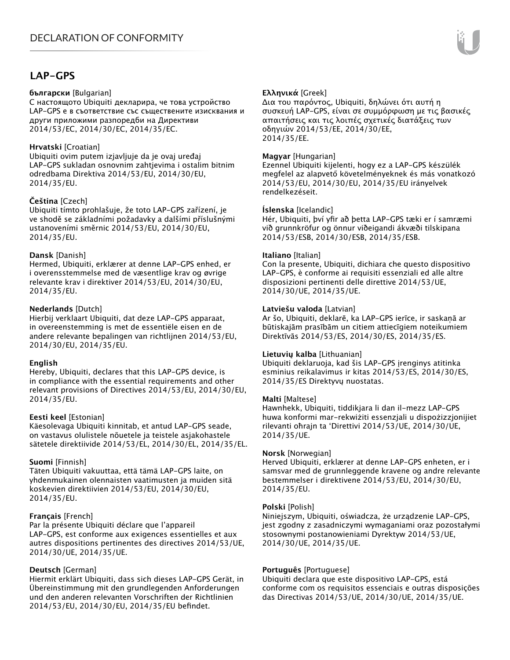## **LAP-GPS**

### **български** [Bulgarian]

С настоящото Ubiquiti декларира, че това устройство LAP-GPS е в съответствие със съществените изисквания и други приложими разпоредби на Директиви 2014/53/EC, 2014/30/ЕС, 2014/35/ЕС.

## **Hrvatski** [Croatian]

Ubiquiti ovim putem izjavljuje da je ovaj uređaj LAP-GPS sukladan osnovnim zahtjevima i ostalim bitnim odredbama Direktiva 2014/53/EU, 2014/30/EU, 2014/35/EU.

## **Čeština** [Czech]

Ubiquiti tímto prohlašuje, že toto LAP-GPS zařízení, je ve shodě se základními požadavky a dalšími příslušnými ustanoveními směrnic 2014/53/EU, 2014/30/EU, 2014/35/EU.

## **Dansk** [Danish]

Hermed, Ubiquiti, erklærer at denne LAP-GPS enhed, er i overensstemmelse med de væsentlige krav og øvrige relevante krav i direktiver 2014/53/EU, 2014/30/EU, 2014/35/EU.

## **Nederlands** [Dutch]

Hierbij verklaart Ubiquiti, dat deze LAP-GPS apparaat, in overeenstemming is met de essentiële eisen en de andere relevante bepalingen van richtlijnen 2014/53/EU, 2014/30/EU, 2014/35/EU.

## **English**

Hereby, Ubiquiti, declares that this LAP-GPS device, is in compliance with the essential requirements and other relevant provisions of Directives 2014/53/EU, 2014/30/EU, 2014/35/EU.

## **Eesti keel** [Estonian]

Käesolevaga Ubiquiti kinnitab, et antud LAP-GPS seade, on vastavus olulistele nõuetele ja teistele asjakohastele sätetele direktiivide 2014/53/EL, 2014/30/EL, 2014/35/EL.

## **Suomi** [Finnish]

Täten Ubiquiti vakuuttaa, että tämä LAP-GPS laite, on yhdenmukainen olennaisten vaatimusten ja muiden sitä koskevien direktiivien 2014/53/EU, 2014/30/EU, 2014/35/EU.

## **Français** [French]

Par la présente Ubiquiti déclare que l'appareil LAP-GPS, est conforme aux exigences essentielles et aux autres dispositions pertinentes des directives 2014/53/UE, 2014/30/UE, 2014/35/UE.

## **Deutsch** [German]

Hiermit erklärt Ubiquiti, dass sich dieses LAP-GPS Gerät, in Übereinstimmung mit den grundlegenden Anforderungen und den anderen relevanten Vorschriften der Richtlinien 2014/53/EU, 2014/30/EU, 2014/35/EU befindet.

## **Ελληνικά** [Greek]

Δια του παρόντος, Ubiquiti, δηλώνει ότι αυτή η συσκευή LAP-GPS, είναι σε συμμόρφωση με τις βασικές απαιτήσεις και τις λοιπές σχετικές διατάξεις των οδηγιών 2014/53/EE, 2014/30/EE, 2014/35/EE.

## **Magyar** [Hungarian]

Ezennel Ubiquiti kijelenti, hogy ez a LAP-GPS készülék megfelel az alapvető követelményeknek és más vonatkozó 2014/53/EU, 2014/30/EU, 2014/35/EU irányelvek rendelkezéseit.

## **Íslenska** [Icelandic]

Hér, Ubiquiti, því yfir að þetta LAP-GPS tæki er í samræmi við grunnkröfur og önnur viðeigandi ákvæði tilskipana 2014/53/ESB, 2014/30/ESB, 2014/35/ESB.

## **Italiano** [Italian]

Con la presente, Ubiquiti, dichiara che questo dispositivo LAP-GPS, è conforme ai requisiti essenziali ed alle altre disposizioni pertinenti delle direttive 2014/53/UE, 2014/30/UE, 2014/35/UE.

## **Latviešu valoda** [Latvian]

Ar šo, Ubiquiti, deklarē, ka LAP-GPS ierīce, ir saskaņā ar būtiskajām prasībām un citiem attiecīgiem noteikumiem Direktīvās 2014/53/ES, 2014/30/ES, 2014/35/ES.

## **Lietuvių kalba** [Lithuanian]

Ubiquiti deklaruoja, kad šis LAP-GPS įrenginys atitinka esminius reikalavimus ir kitas 2014/53/ES, 2014/30/ES, 2014/35/ES Direktyvų nuostatas.

## **Malti** [Maltese]

Hawnhekk, Ubiquiti, tiddikjara li dan il-mezz LAP-GPS huwa konformi mar-rekwiżiti essenzjali u dispożizzjonijiet rilevanti oħrajn ta 'Direttivi 2014/53/UE, 2014/30/UE, 2014/35/UE.

## **Norsk** [Norwegian]

Herved Ubiquiti, erklærer at denne LAP-GPS enheten, er i samsvar med de grunnleggende kravene og andre relevante bestemmelser i direktivene 2014/53/EU, 2014/30/EU, 2014/35/EU.

## **Polski** [Polish]

Niniejszym, Ubiquiti, oświadcza, że urządzenie LAP-GPS, jest zgodny z zasadniczymi wymaganiami oraz pozostałymi stosownymi postanowieniami Dyrektyw 2014/53/UE, 2014/30/UE, 2014/35/UE.

## **Português** [Portuguese]

Ubiquiti declara que este dispositivo LAP-GPS, está conforme com os requisitos essenciais e outras disposições das Directivas 2014/53/UE, 2014/30/UE, 2014/35/UE.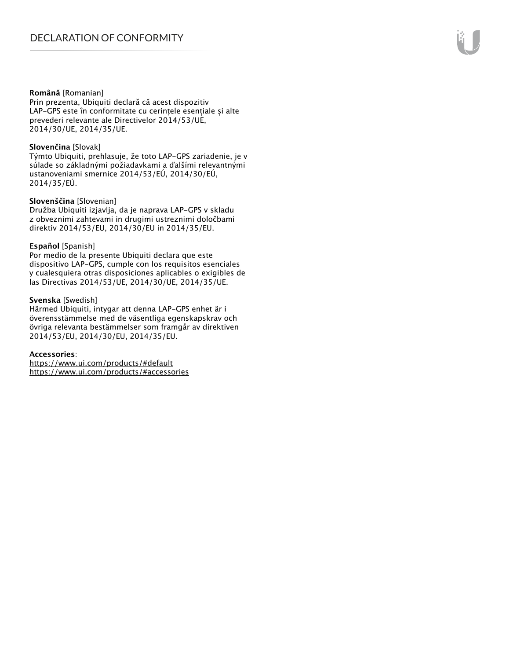#### **Română** [Romanian]

Prin prezenta, Ubiquiti declară că acest dispozitiv LAP-GPS este în conformitate cu cerințele esențiale și alte prevederi relevante ale Directivelor 2014/53/UE, 2014/30/UE, 2014/35/UE.

#### **Slovenčina** [Slovak]

Týmto Ubiquiti, prehlasuje, že toto LAP-GPS zariadenie, je v súlade so základnými požiadavkami a ďalšími relevantnými ustanoveniami smernice 2014/53/EÚ, 2014/30/EÚ, 2014/35/EÚ.

#### **Slovenščina** [Slovenian]

Družba Ubiquiti izjavlja, da je naprava LAP-GPS v skladu z obveznimi zahtevami in drugimi ustreznimi določbami direktiv 2014/53/EU, 2014/30/EU in 2014/35/EU.

#### **Español** [Spanish]

Por medio de la presente Ubiquiti declara que este dispositivo LAP-GPS, cumple con los requisitos esenciales y cualesquiera otras disposiciones aplicables o exigibles de las Directivas 2014/53/UE, 2014/30/UE, 2014/35/UE.

#### **Svenska** [Swedish]

Härmed Ubiquiti, intygar att denna LAP-GPS enhet är i överensstämmelse med de väsentliga egenskapskrav och övriga relevanta bestämmelser som framgår av direktiven 2014/53/EU, 2014/30/EU, 2014/35/EU.

#### **Accessories**:

https://www.ui.com/products/#default https://www.ui.com/products/#accessories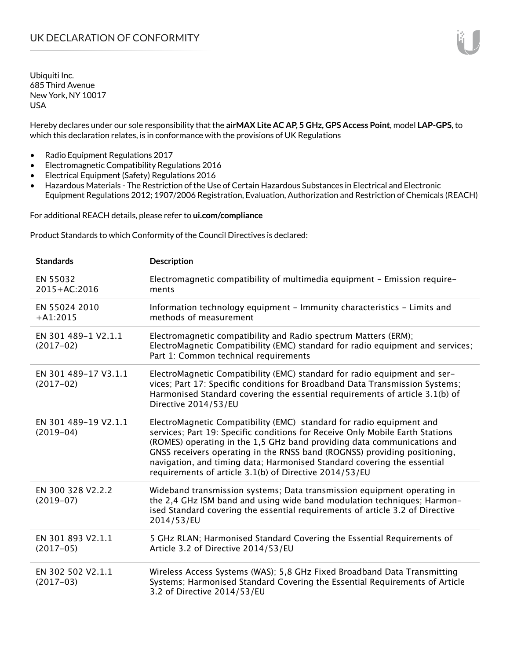Hereby declares under our sole responsibility that the **airMAX Lite AC AP, 5 GHz, GPS Access Point**, model **LAP-GPS**, to which this declaration relates, is in conformance with the provisions of UK Regulations

- Radio Equipment Regulations 2017
- Electromagnetic Compatibility Regulations 2016
- Electrical Equipment (Safety) Regulations 2016
- Hazardous Materials The Restriction of the Use of Certain Hazardous Substances in Electrical and Electronic Equipment Regulations 2012; 1907/2006 Registration, Evaluation, Authorization and Restriction of Chemicals (REACH)

For additional REACH details, please refer to **ui.com/compliance**

Product Standards to which Conformity of the Council Directives is declared:

| <b>Standards</b>                    | <b>Description</b>                                                                                                                                                                                                                                                                                                                                                                                                                                 |
|-------------------------------------|----------------------------------------------------------------------------------------------------------------------------------------------------------------------------------------------------------------------------------------------------------------------------------------------------------------------------------------------------------------------------------------------------------------------------------------------------|
| EN 55032<br>2015+AC:2016            | Electromagnetic compatibility of multimedia equipment - Emission require-<br>ments                                                                                                                                                                                                                                                                                                                                                                 |
| EN 55024 2010<br>$+A1:2015$         | Information technology equipment - Immunity characteristics - Limits and<br>methods of measurement                                                                                                                                                                                                                                                                                                                                                 |
| EN 301 489-1 V2.1.1<br>$(2017-02)$  | Electromagnetic compatibility and Radio spectrum Matters (ERM);<br>ElectroMagnetic Compatibility (EMC) standard for radio equipment and services;<br>Part 1: Common technical requirements                                                                                                                                                                                                                                                         |
| EN 301 489-17 V3.1.1<br>$(2017-02)$ | ElectroMagnetic Compatibility (EMC) standard for radio equipment and ser-<br>vices; Part 17: Specific conditions for Broadband Data Transmission Systems;<br>Harmonised Standard covering the essential requirements of article 3.1(b) of<br>Directive 2014/53/EU                                                                                                                                                                                  |
| EN 301 489-19 V2.1.1<br>$(2019-04)$ | ElectroMagnetic Compatibility (EMC) standard for radio equipment and<br>services; Part 19: Specific conditions for Receive Only Mobile Earth Stations<br>(ROMES) operating in the 1,5 GHz band providing data communications and<br>GNSS receivers operating in the RNSS band (ROGNSS) providing positioning,<br>navigation, and timing data; Harmonised Standard covering the essential<br>requirements of article 3.1(b) of Directive 2014/53/EU |
| EN 300 328 V2.2.2<br>$(2019-07)$    | Wideband transmission systems; Data transmission equipment operating in<br>the 2,4 GHz ISM band and using wide band modulation techniques; Harmon-<br>ised Standard covering the essential requirements of article 3.2 of Directive<br>2014/53/EU                                                                                                                                                                                                  |
| EN 301 893 V2.1.1<br>$(2017-05)$    | 5 GHz RLAN; Harmonised Standard Covering the Essential Requirements of<br>Article 3.2 of Directive 2014/53/EU                                                                                                                                                                                                                                                                                                                                      |
| EN 302 502 V2.1.1<br>$(2017-03)$    | Wireless Access Systems (WAS); 5,8 GHz Fixed Broadband Data Transmitting<br>Systems; Harmonised Standard Covering the Essential Requirements of Article<br>3.2 of Directive 2014/53/EU                                                                                                                                                                                                                                                             |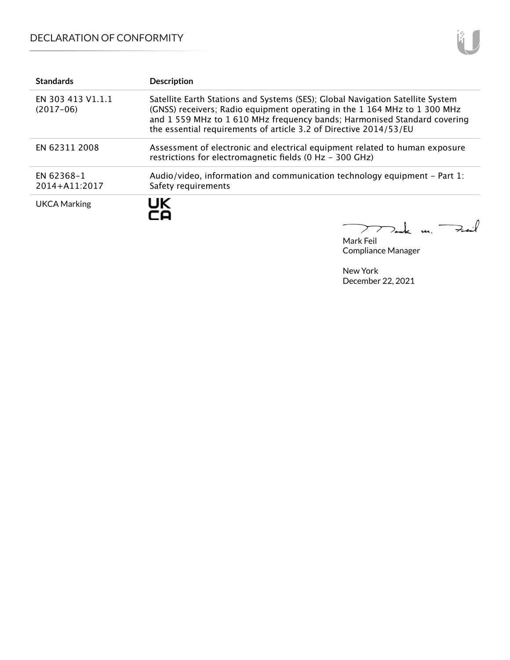## DECLARATION OF CONFORMITY

| <b>Standards</b>                 | <b>Description</b>                                                                                                                                                                                                                                                                                           |
|----------------------------------|--------------------------------------------------------------------------------------------------------------------------------------------------------------------------------------------------------------------------------------------------------------------------------------------------------------|
| EN 303 413 V1.1.1<br>$(2017-06)$ | Satellite Earth Stations and Systems (SES); Global Navigation Satellite System<br>(GNSS) receivers; Radio equipment operating in the 1 164 MHz to 1 300 MHz<br>and 1 559 MHz to 1 610 MHz frequency bands; Harmonised Standard covering<br>the essential requirements of article 3.2 of Directive 2014/53/EU |
| EN 62311 2008                    | Assessment of electronic and electrical equipment related to human exposure<br>restrictions for electromagnetic fields (0 Hz - 300 GHz)                                                                                                                                                                      |
| EN 62368-1<br>2014+A11:2017      | Audio/video, information and communication technology equipment – Part 1:<br>Safety requirements                                                                                                                                                                                                             |
| <b>UKCA Marking</b>              | JK                                                                                                                                                                                                                                                                                                           |

Mark Feil Compliance Manager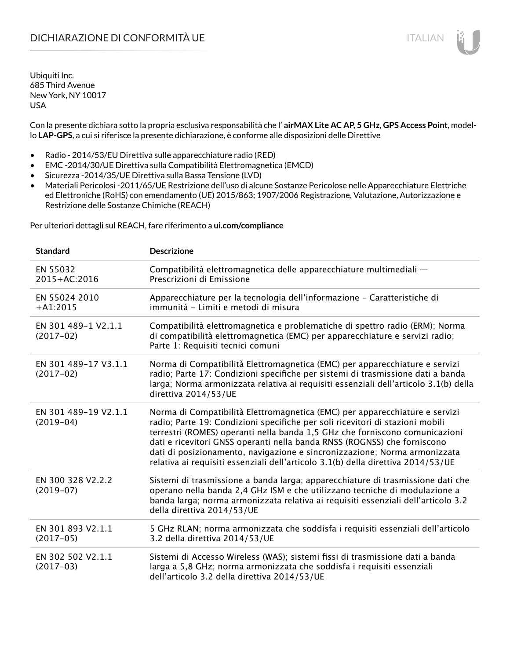## DICHIARAZIONE DI CONFORMITÀ UE ITALIAN ITALIAN

Ubiquiti Inc. 685 Third Avenue New York, NY 10017 USA

Con la presente dichiara sotto la propria esclusiva responsabilità che l' **airMAX Lite AC AP, 5 GHz, GPS Access Point**, modello **LAP-GPS**, a cui si riferisce la presente dichiarazione, è conforme alle disposizioni delle Direttive

- Radio 2014/53/EU Direttiva sulle apparecchiature radio (RED)
- EMC -2014/30/UE Direttiva sulla Compatibilità Elettromagnetica (EMCD)
- Sicurezza -2014/35/UE Direttiva sulla Bassa Tensione (LVD)
- Materiali Pericolosi -2011/65/UE Restrizione dell'uso di alcune Sostanze Pericolose nelle Apparecchiature Elettriche ed Elettroniche (RoHS) con emendamento (UE) 2015/863; 1907/2006 Registrazione, Valutazione, Autorizzazione e Restrizione delle Sostanze Chimiche (REACH)

Per ulteriori dettagli sul REACH, fare riferimento a **ui.com/compliance**

| <b>Standard</b>                     | <b>Descrizione</b>                                                                                                                                                                                                                                                                                                                                                                                                                                                                       |
|-------------------------------------|------------------------------------------------------------------------------------------------------------------------------------------------------------------------------------------------------------------------------------------------------------------------------------------------------------------------------------------------------------------------------------------------------------------------------------------------------------------------------------------|
| EN 55032<br>2015+AC:2016            | Compatibilità elettromagnetica delle apparecchiature multimediali -<br>Prescrizioni di Emissione                                                                                                                                                                                                                                                                                                                                                                                         |
| EN 55024 2010<br>$+A1:2015$         | Apparecchiature per la tecnologia dell'informazione - Caratteristiche di<br>immunità - Limiti e metodi di misura                                                                                                                                                                                                                                                                                                                                                                         |
| EN 301 489-1 V2.1.1<br>$(2017-02)$  | Compatibilità elettromagnetica e problematiche di spettro radio (ERM); Norma<br>di compatibilità elettromagnetica (EMC) per apparecchiature e servizi radio;<br>Parte 1: Requisiti tecnici comuni                                                                                                                                                                                                                                                                                        |
| EN 301 489-17 V3.1.1<br>$(2017-02)$ | Norma di Compatibilità Elettromagnetica (EMC) per apparecchiature e servizi<br>radio; Parte 17: Condizioni specifiche per sistemi di trasmissione dati a banda<br>larga; Norma armonizzata relativa ai requisiti essenziali dell'articolo 3.1(b) della<br>direttiva 2014/53/UE                                                                                                                                                                                                           |
| EN 301 489-19 V2.1.1<br>$(2019-04)$ | Norma di Compatibilità Elettromagnetica (EMC) per apparecchiature e servizi<br>radio; Parte 19: Condizioni specifiche per soli ricevitori di stazioni mobili<br>terrestri (ROMES) operanti nella banda 1,5 GHz che forniscono comunicazioni<br>dati e ricevitori GNSS operanti nella banda RNSS (ROGNSS) che forniscono<br>dati di posizionamento, navigazione e sincronizzazione; Norma armonizzata<br>relativa ai requisiti essenziali dell'articolo 3.1(b) della direttiva 2014/53/UE |
| EN 300 328 V2.2.2<br>$(2019-07)$    | Sistemi di trasmissione a banda larga; apparecchiature di trasmissione dati che<br>operano nella banda 2,4 GHz ISM e che utilizzano tecniche di modulazione a<br>banda larga; norma armonizzata relativa ai requisiti essenziali dell'articolo 3.2<br>della direttiva 2014/53/UE                                                                                                                                                                                                         |
| EN 301 893 V2.1.1<br>$(2017-05)$    | 5 GHz RLAN; norma armonizzata che soddisfa i requisiti essenziali dell'articolo<br>3.2 della direttiva 2014/53/UE                                                                                                                                                                                                                                                                                                                                                                        |
| EN 302 502 V2.1.1<br>$(2017-03)$    | Sistemi di Accesso Wireless (WAS); sistemi fissi di trasmissione dati a banda<br>larga a 5,8 GHz; norma armonizzata che soddisfa i requisiti essenziali<br>dell'articolo 3.2 della direttiva 2014/53/UE                                                                                                                                                                                                                                                                                  |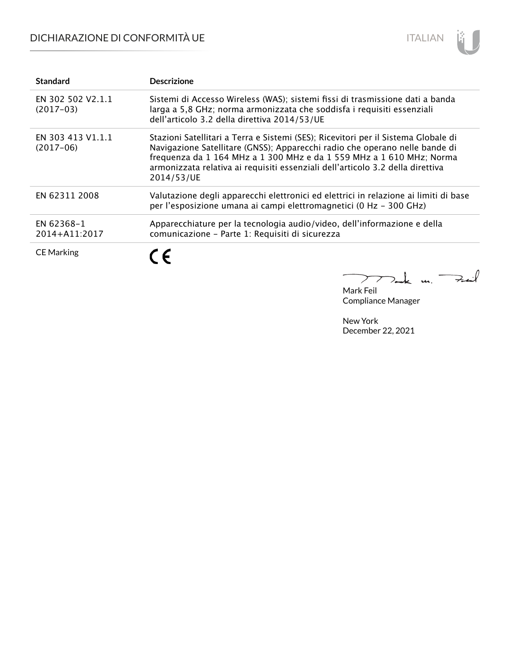## DICHIARAZIONE DI CONFORMITÀ UE



| <b>Standard</b>                  | <b>Descrizione</b>                                                                                                                                                                                                                                                                                                                        |
|----------------------------------|-------------------------------------------------------------------------------------------------------------------------------------------------------------------------------------------------------------------------------------------------------------------------------------------------------------------------------------------|
| EN 302 502 V2.1.1<br>$(2017-03)$ | Sistemi di Accesso Wireless (WAS); sistemi fissi di trasmissione dati a banda<br>larga a 5,8 GHz; norma armonizzata che soddisfa i requisiti essenziali<br>dell'articolo 3.2 della direttiva 2014/53/UE                                                                                                                                   |
| EN 303 413 V1.1.1<br>$(2017-06)$ | Stazioni Satellitari a Terra e Sistemi (SES); Ricevitori per il Sistema Globale di<br>Navigazione Satellitare (GNSS); Apparecchi radio che operano nelle bande di<br>frequenza da 1 164 MHz a 1 300 MHz e da 1 559 MHz a 1 610 MHz; Norma<br>armonizzata relativa ai requisiti essenziali dell'articolo 3.2 della direttiva<br>2014/53/UE |
| EN 62311 2008                    | Valutazione degli apparecchi elettronici ed elettrici in relazione ai limiti di base<br>per l'esposizione umana ai campi elettromagnetici (0 Hz - 300 GHz)                                                                                                                                                                                |
| EN 62368-1<br>2014+A11:2017      | Apparecchiature per la tecnologia audio/video, dell'informazione e della<br>comunicazione - Parte 1: Requisiti di sicurezza                                                                                                                                                                                                               |
| <b>CE Marking</b>                | C E                                                                                                                                                                                                                                                                                                                                       |
|                                  |                                                                                                                                                                                                                                                                                                                                           |

Mark Feil Compliance Manager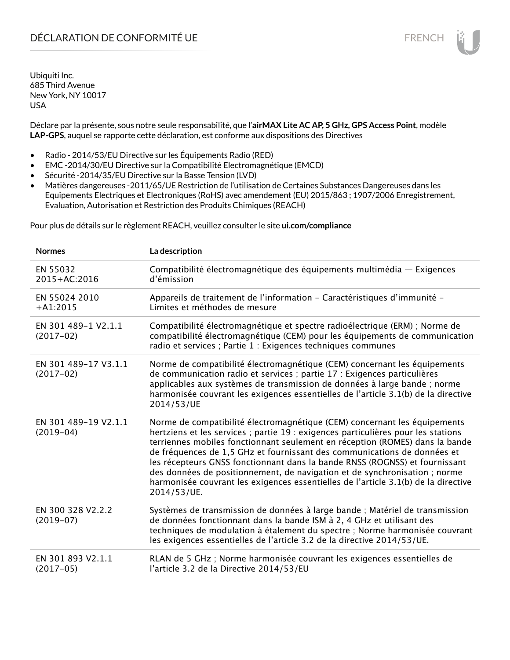Déclare par la présente, sous notre seule responsabilité, que l'**airMAX Lite AC AP, 5 GHz, GPS Access Point**, modèle **LAP-GPS**, auquel se rapporte cette déclaration, est conforme aux dispositions des Directives

- Radio 2014/53/EU Directive sur les Équipements Radio (RED)
- EMC -2014/30/EU Directive sur la Compatibilité Electromagnétique (EMCD)
- Sécurité -2014/35/EU Directive sur la Basse Tension (LVD)
- Matières dangereuses -2011/65/UE Restriction de l'utilisation de Certaines Substances Dangereuses dans les Equipements Electriques et Electroniques (RoHS) avec amendement (EU) 2015/863 ; 1907/2006 Enregistrement, Evaluation, Autorisation et Restriction des Produits Chimiques (REACH)

Pour plus de détails sur le règlement REACH, veuillez consulter le site **ui.com/compliance**

| <b>Normes</b>                       | La description                                                                                                                                                                                                                                                                                                                                                                                                                                                                                                                                                                               |
|-------------------------------------|----------------------------------------------------------------------------------------------------------------------------------------------------------------------------------------------------------------------------------------------------------------------------------------------------------------------------------------------------------------------------------------------------------------------------------------------------------------------------------------------------------------------------------------------------------------------------------------------|
| EN 55032<br>2015+AC:2016            | Compatibilité électromagnétique des équipements multimédia — Exigences<br>d'émission                                                                                                                                                                                                                                                                                                                                                                                                                                                                                                         |
| EN 55024 2010<br>$+A1:2015$         | Appareils de traitement de l'information - Caractéristiques d'immunité -<br>Limites et méthodes de mesure                                                                                                                                                                                                                                                                                                                                                                                                                                                                                    |
| EN 301 489-1 V2.1.1<br>$(2017-02)$  | Compatibilité électromagnétique et spectre radioélectrique (ERM) ; Norme de<br>compatibilité électromagnétique (CEM) pour les équipements de communication<br>radio et services ; Partie 1 : Exigences techniques communes                                                                                                                                                                                                                                                                                                                                                                   |
| EN 301 489-17 V3.1.1<br>$(2017-02)$ | Norme de compatibilité électromagnétique (CEM) concernant les équipements<br>de communication radio et services ; partie 17 : Exigences particulières<br>applicables aux systèmes de transmission de données à large bande ; norme<br>harmonisée couvrant les exigences essentielles de l'article 3.1(b) de la directive<br>2014/53/UE                                                                                                                                                                                                                                                       |
| EN 301 489-19 V2.1.1<br>$(2019-04)$ | Norme de compatibilité électromagnétique (CEM) concernant les équipements<br>hertziens et les services ; partie 19 : exigences particulières pour les stations<br>terriennes mobiles fonctionnant seulement en réception (ROMES) dans la bande<br>de fréquences de 1,5 GHz et fournissant des communications de données et<br>les récepteurs GNSS fonctionnant dans la bande RNSS (ROGNSS) et fournissant<br>des données de positionnement, de navigation et de synchronisation ; norme<br>harmonisée couvrant les exigences essentielles de l'article 3.1(b) de la directive<br>2014/53/UE. |
| EN 300 328 V2.2.2<br>$(2019-07)$    | Systèmes de transmission de données à large bande ; Matériel de transmission<br>de données fonctionnant dans la bande ISM à 2, 4 GHz et utilisant des<br>techniques de modulation à étalement du spectre ; Norme harmonisée couvrant<br>les exigences essentielles de l'article 3.2 de la directive 2014/53/UE.                                                                                                                                                                                                                                                                              |
| EN 301 893 V2.1.1<br>$(2017-05)$    | RLAN de 5 GHz ; Norme harmonisée couvrant les exigences essentielles de<br>l'article 3.2 de la Directive 2014/53/EU                                                                                                                                                                                                                                                                                                                                                                                                                                                                          |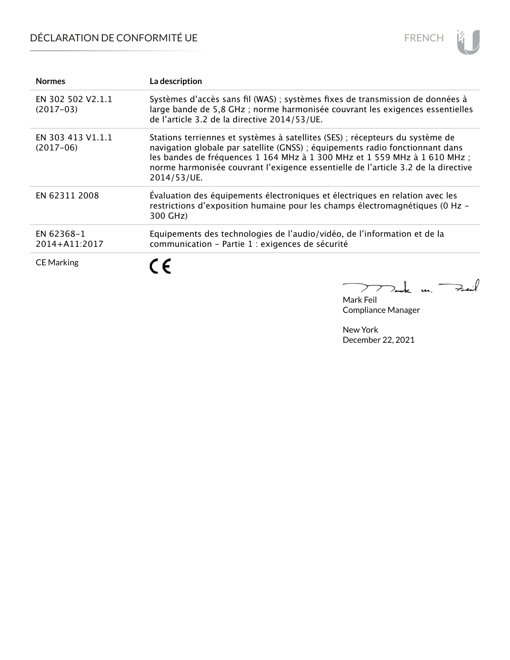# DÉCLARATION DE CONFORMITÉ UE



| <b>Normes</b>                    | La description                                                                                                                                                                                                                                                                                                                                  |
|----------------------------------|-------------------------------------------------------------------------------------------------------------------------------------------------------------------------------------------------------------------------------------------------------------------------------------------------------------------------------------------------|
| EN 302 502 V2.1.1<br>$(2017-03)$ | Systèmes d'accès sans fil (WAS) ; systèmes fixes de transmission de données à<br>large bande de 5,8 GHz; norme harmonisée couvrant les exigences essentielles<br>de l'article 3.2 de la directive 2014/53/UE.                                                                                                                                   |
| EN 303 413 V1.1.1<br>$(2017-06)$ | Stations terriennes et systèmes à satellites (SES) ; récepteurs du système de<br>navigation globale par satellite (GNSS) ; équipements radio fonctionnant dans<br>les bandes de fréquences 1 164 MHz à 1 300 MHz et 1 559 MHz à 1 610 MHz ;<br>norme harmonisée couvrant l'exigence essentielle de l'article 3.2 de la directive<br>2014/53/UE. |
| EN 62311 2008                    | Évaluation des équipements électroniques et électriques en relation avec les<br>restrictions d'exposition humaine pour les champs électromagnétiques (0 Hz -<br>300 GHz)                                                                                                                                                                        |
| EN 62368-1<br>2014+A11:2017      | Equipements des technologies de l'audio/vidéo, de l'information et de la<br>communication - Partie 1 : exigences de sécurité                                                                                                                                                                                                                    |
| <b>CE Marking</b>                | C E                                                                                                                                                                                                                                                                                                                                             |

Mak m. Fail

Mark Feil Compliance Manager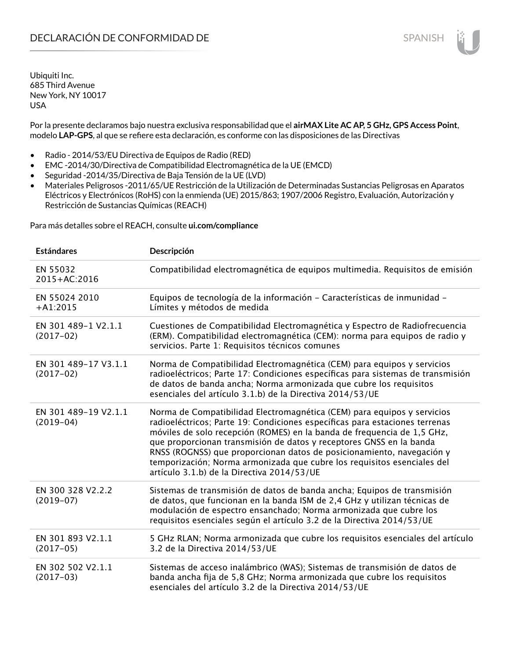Por la presente declaramos bajo nuestra exclusiva responsabilidad que el **airMAX Lite AC AP, 5 GHz, GPS Access Point**, modelo **LAP-GPS**, al que se refiere esta declaración, es conforme con las disposiciones de las Directivas

- Radio 2014/53/EU Directiva de Equipos de Radio (RED)
- EMC -2014/30/Directiva de Compatibilidad Electromagnética de la UE (EMCD)
- Seguridad -2014/35/Directiva de Baja Tensión de la UE (LVD)
- Materiales Peligrosos -2011/65/UE Restricción de la Utilización de Determinadas Sustancias Peligrosas en Aparatos Eléctricos y Electrónicos (RoHS) con la enmienda (UE) 2015/863; 1907/2006 Registro, Evaluación, Autorización y Restricción de Sustancias Químicas (REACH)

Para más detalles sobre el REACH, consulte **ui.com/compliance**

| <b>Estándares</b>                   | Descripción                                                                                                                                                                                                                                                                                                                                                                                                                                                                                                |
|-------------------------------------|------------------------------------------------------------------------------------------------------------------------------------------------------------------------------------------------------------------------------------------------------------------------------------------------------------------------------------------------------------------------------------------------------------------------------------------------------------------------------------------------------------|
| EN 55032<br>2015+AC:2016            | Compatibilidad electromagnética de equipos multimedia. Requisitos de emisión                                                                                                                                                                                                                                                                                                                                                                                                                               |
| EN 55024 2010<br>$+A1:2015$         | Equipos de tecnología de la información - Características de inmunidad -<br>Límites y métodos de medida                                                                                                                                                                                                                                                                                                                                                                                                    |
| EN 301 489-1 V2.1.1<br>$(2017-02)$  | Cuestiones de Compatibilidad Electromagnética y Espectro de Radiofrecuencia<br>(ERM). Compatibilidad electromagnética (CEM): norma para equipos de radio y<br>servicios. Parte 1: Requisitos técnicos comunes                                                                                                                                                                                                                                                                                              |
| EN 301 489-17 V3.1.1<br>$(2017-02)$ | Norma de Compatibilidad Electromagnética (CEM) para equipos y servicios<br>radioeléctricos; Parte 17: Condiciones específicas para sistemas de transmisión<br>de datos de banda ancha; Norma armonizada que cubre los requisitos<br>esenciales del artículo 3.1.b) de la Directiva 2014/53/UE                                                                                                                                                                                                              |
| EN 301 489-19 V2.1.1<br>$(2019-04)$ | Norma de Compatibilidad Electromagnética (CEM) para equipos y servicios<br>radioeléctricos; Parte 19: Condiciones específicas para estaciones terrenas<br>móviles de solo recepción (ROMES) en la banda de frequencia de 1,5 GHz,<br>que proporcionan transmisión de datos y receptores GNSS en la banda<br>RNSS (ROGNSS) que proporcionan datos de posicionamiento, navegación y<br>temporización; Norma armonizada que cubre los requisitos esenciales del<br>artículo 3.1.b) de la Directiva 2014/53/UE |
| EN 300 328 V2.2.2<br>$(2019-07)$    | Sistemas de transmisión de datos de banda ancha; Equipos de transmisión<br>de datos, que funcionan en la banda ISM de 2,4 GHz y utilizan técnicas de<br>modulación de espectro ensanchado; Norma armonizada que cubre los<br>requisitos esenciales según el artículo 3.2 de la Directiva 2014/53/UE                                                                                                                                                                                                        |
| EN 301 893 V2.1.1<br>$(2017-05)$    | 5 GHz RLAN; Norma armonizada que cubre los requisitos esenciales del artículo<br>3.2 de la Directiva 2014/53/UE                                                                                                                                                                                                                                                                                                                                                                                            |
| EN 302 502 V2.1.1<br>$(2017-03)$    | Sistemas de acceso inalámbrico (WAS); Sistemas de transmisión de datos de<br>banda ancha fija de 5,8 GHz; Norma armonizada que cubre los requisitos<br>esenciales del artículo 3.2 de la Directiva 2014/53/UE                                                                                                                                                                                                                                                                                              |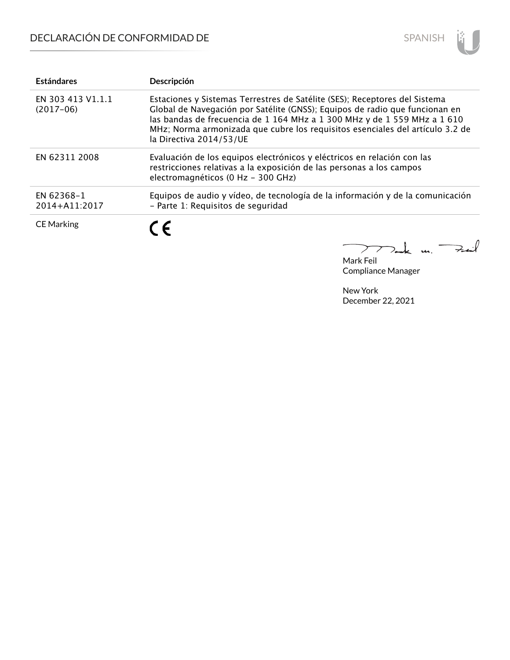

| <b>Estándares</b>                | Descripción                                                                                                                                                                                                                                                                                                                                       |
|----------------------------------|---------------------------------------------------------------------------------------------------------------------------------------------------------------------------------------------------------------------------------------------------------------------------------------------------------------------------------------------------|
| EN 303 413 V1.1.1<br>$(2017-06)$ | Estaciones y Sistemas Terrestres de Satélite (SES); Receptores del Sistema<br>Global de Navegación por Satélite (GNSS); Equipos de radio que funcionan en<br>las bandas de frecuencia de 1 164 MHz a 1 300 MHz y de 1 559 MHz a 1 610<br>MHz; Norma armonizada que cubre los requisitos esenciales del artículo 3.2 de<br>la Directiva 2014/53/UE |
| EN 62311 2008                    | Evaluación de los equipos electrónicos y eléctricos en relación con las<br>restricciones relativas a la exposición de las personas a los campos<br>electromagnéticos (0 Hz - 300 GHz)                                                                                                                                                             |
| EN 62368-1<br>2014+A11:2017      | Equipos de audio y vídeo, de tecnología de la información y de la comunicación<br>- Parte 1: Requisitos de seguridad                                                                                                                                                                                                                              |
| <b>CE Marking</b>                | C E                                                                                                                                                                                                                                                                                                                                               |

 $k$  un  $\rightarrow$  $\overline{\phantom{0}}$  $\sum$ 

Mark Feil Compliance Manager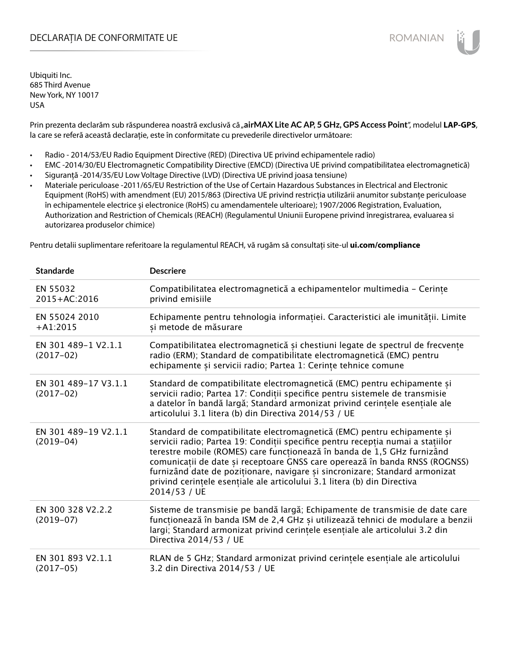## DECLARAȚIA DE CONFORMITATE UE EXECUCIÓN EN ELECCIÓN ROMANIAN

Ubiquiti Inc. 685 Third Avenue New York, NY 10017 USA

Prin prezenta declarăm sub răspunderea noastră exclusivă că "airMAX Lite AC AP, 5 GHz, GPS Access Point", modelul LAP-GPS, la care se referă această declarație, este în conformitate cu prevederile directivelor următoare:

- Radio 2014/53/EU Radio Equipment Directive (RED) (Directiva UE privind echipamentele radio)
- EMC -2014/30/EU Electromagnetic Compatibility Directive (EMCD) (Directiva UE privind compatibilitatea electromagnetică)
- Siguranță -2014/35/EU Low Voltage Directive (LVD) (Directiva UE privind joasa tensiune)
- Materiale periculoase -2011/65/EU Restriction of the Use of Certain Hazardous Substances in Electrical and Electronic Equipment (RoHS) with amendment (EU) 2015/863 (Directiva UE privind restricția utilizării anumitor substanțe periculoase în echipamentele electrice și electronice (RoHS) cu amendamentele ulterioare); 1907/2006 Registration, Evaluation, Authorization and Restriction of Chemicals (REACH) (Regulamentul Uniunii Europene privind înregistrarea, evaluarea si autorizarea produselor chimice)

Pentru detalii suplimentare referitoare la regulamentul REACH, vă rugăm să consultați site-ul **ui.com/compliance**

| <b>Standarde</b>                    | <b>Descriere</b>                                                                                                                                                                                                                                                                                                                                                                                                                                                                                 |
|-------------------------------------|--------------------------------------------------------------------------------------------------------------------------------------------------------------------------------------------------------------------------------------------------------------------------------------------------------------------------------------------------------------------------------------------------------------------------------------------------------------------------------------------------|
| EN 55032<br>2015+AC:2016            | Compatibilitatea electromagnetică a echipamentelor multimedia - Cerințe<br>privind emisiile                                                                                                                                                                                                                                                                                                                                                                                                      |
| EN 55024 2010<br>$+A1:2015$         | Echipamente pentru tehnologia informației. Caracteristici ale imunității. Limite<br>și metode de măsurare                                                                                                                                                                                                                                                                                                                                                                                        |
| EN 301 489-1 V2.1.1<br>$(2017-02)$  | Compatibilitatea electromagnetică și chestiuni legate de spectrul de frecvențe<br>radio (ERM); Standard de compatibilitate electromagnetică (EMC) pentru<br>echipamente și servicii radio; Partea 1: Cerințe tehnice comune                                                                                                                                                                                                                                                                      |
| EN 301 489-17 V3.1.1<br>$(2017-02)$ | Standard de compatibilitate electromagnetică (EMC) pentru echipamente și<br>servicii radio; Partea 17: Condiții specifice pentru sistemele de transmisie<br>a datelor în bandă largă; Standard armonizat privind cerințele esențiale ale<br>articolului 3.1 litera (b) din Directiva 2014/53 / UE                                                                                                                                                                                                |
| EN 301 489-19 V2.1.1<br>$(2019-04)$ | Standard de compatibilitate electromagnetică (EMC) pentru echipamente și<br>servicii radio; Partea 19: Condiții specifice pentru recepția numai a stațiilor<br>terestre mobile (ROMES) care funcționează în banda de 1,5 GHz furnizând<br>comunicații de date și receptoare GNSS care operează în banda RNSS (ROGNSS)<br>furnizând date de poziționare, navigare și sincronizare; Standard armonizat<br>privind cerințele esențiale ale articolului 3.1 litera (b) din Directiva<br>2014/53 / UE |
| EN 300 328 V2.2.2<br>$(2019-07)$    | Sisteme de transmisie pe bandă largă; Echipamente de transmisie de date care<br>funcționează în banda ISM de 2,4 GHz și utilizează tehnici de modulare a benzii<br>largi; Standard armonizat privind cerințele esențiale ale articolului 3.2 din<br>Directiva 2014/53 / UE                                                                                                                                                                                                                       |
| EN 301 893 V2.1.1<br>$(2017-05)$    | RLAN de 5 GHz; Standard armonizat privind cerințele esențiale ale articolului<br>3.2 din Directiva 2014/53 / UE                                                                                                                                                                                                                                                                                                                                                                                  |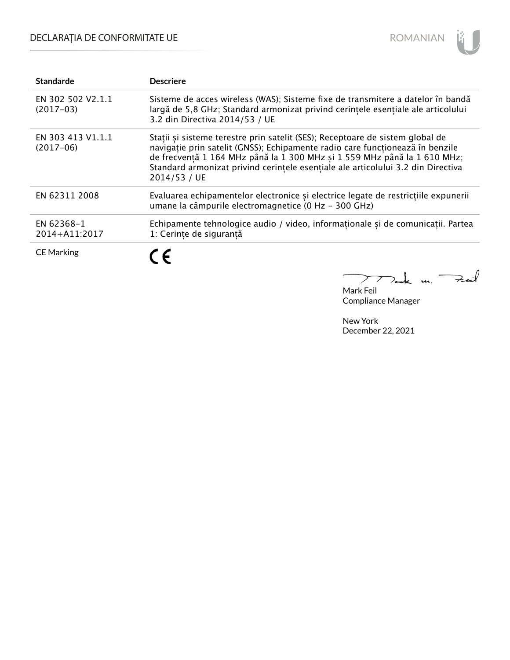# DECLARAȚIA DE CONFORMITATE UE



| <b>Standarde</b>                 | <b>Descriere</b>                                                                                                                                                                                                                                                                                                                               |
|----------------------------------|------------------------------------------------------------------------------------------------------------------------------------------------------------------------------------------------------------------------------------------------------------------------------------------------------------------------------------------------|
| EN 302 502 V2.1.1<br>$(2017-03)$ | Sisteme de acces wireless (WAS); Sisteme fixe de transmitere a datelor în bandă<br>largă de 5,8 GHz; Standard armonizat privind cerințele esențiale ale articolului<br>3.2 din Directiva 2014/53 / UE                                                                                                                                          |
| EN 303 413 V1.1.1<br>$(2017-06)$ | Stații și sisteme terestre prin satelit (SES); Receptoare de sistem global de<br>navigație prin satelit (GNSS); Echipamente radio care funcționează în benzile<br>de frecvență 1 164 MHz până la 1 300 MHz și 1 559 MHz până la 1 610 MHz;<br>Standard armonizat privind cerintele esențiale ale articolului 3.2 din Directiva<br>2014/53 / UE |
| EN 62311 2008                    | Evaluarea echipamentelor electronice și electrice legate de restricțiile expunerii<br>umane la câmpurile electromagnetice (0 Hz - 300 GHz)                                                                                                                                                                                                     |
| EN 62368-1<br>2014+A11:2017      | Echipamente tehnologice audio / video, informaționale și de comunicații. Partea<br>1: Cerințe de siguranță                                                                                                                                                                                                                                     |
| <b>CE Marking</b>                | C E                                                                                                                                                                                                                                                                                                                                            |

mak un Fail

Mark Feil Compliance Manager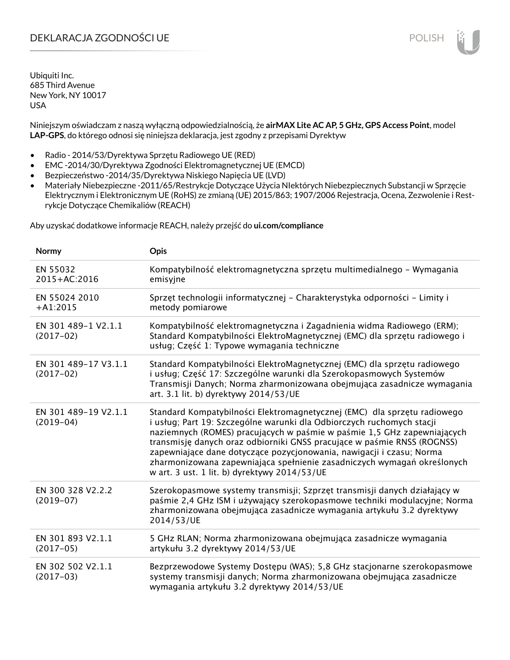## DEKLARACJA ZGODNOŚCI UE POLISH POLISH

Ubiquiti Inc. 685 Third Avenue New York, NY 10017 USA

Niniejszym oświadczam z naszą wyłączną odpowiedzialnością, że **airMAX Lite AC AP, 5 GHz, GPS Access Point**, model **LAP-GPS**, do którego odnosi się niniejsza deklaracja, jest zgodny z przepisami Dyrektyw

- Radio 2014/53/Dyrektywa Sprzętu Radiowego UE (RED)
- EMC -2014/30/Dyrektywa Zgodności Elektromagnetycznej UE (EMCD)
- Bezpieczeństwo -2014/35/Dyrektywa Niskiego Napięcia UE (LVD)
- Materiały Niebezpieczne -2011/65/Restrykcje Dotyczące Użycia NIektórych Niebezpiecznych Substancji w Sprzęcie Elektrycznym i Elektronicznym UE (RoHS) ze zmianą (UE) 2015/863; 1907/2006 Rejestracja, Ocena, Zezwolenie i Restrykcje Dotyczące Chemikaliów (REACH)

Aby uzyskać dodatkowe informacje REACH, należy przejść do **ui.com/compliance**

| Normy                               | Opis                                                                                                                                                                                                                                                                                                                                                                                                                                                                                                       |
|-------------------------------------|------------------------------------------------------------------------------------------------------------------------------------------------------------------------------------------------------------------------------------------------------------------------------------------------------------------------------------------------------------------------------------------------------------------------------------------------------------------------------------------------------------|
| EN 55032<br>2015+AC:2016            | Kompatybilność elektromagnetyczna sprzętu multimedialnego – Wymagania<br>emisyjne                                                                                                                                                                                                                                                                                                                                                                                                                          |
| EN 55024 2010<br>$+A1:2015$         | Sprzęt technologii informatycznej - Charakterystyka odporności - Limity i<br>metody pomiarowe                                                                                                                                                                                                                                                                                                                                                                                                              |
| EN 301 489-1 V2.1.1<br>$(2017-02)$  | Kompatybilność elektromagnetyczna i Zagadnienia widma Radiowego (ERM);<br>Standard Kompatybilności ElektroMagnetycznej (EMC) dla sprzętu radiowego i<br>usług; Część 1: Typowe wymagania techniczne                                                                                                                                                                                                                                                                                                        |
| EN 301 489-17 V3.1.1<br>$(2017-02)$ | Standard Kompatybilności ElektroMagnetycznej (EMC) dla sprzętu radiowego<br>i usług; Część 17: Szczególne warunki dla Szerokopasmowych Systemów<br>Transmisji Danych; Norma zharmonizowana obejmująca zasadnicze wymagania<br>art. 3.1 lit. b) dyrektywy 2014/53/UE                                                                                                                                                                                                                                        |
| EN 301 489-19 V2.1.1<br>$(2019-04)$ | Standard Kompatybilności Elektromagnetycznej (EMC) dla sprzętu radiowego<br>i usług; Part 19: Szczególne warunki dla Odbiorczych ruchomych stacji<br>naziemnych (ROMES) pracujących w paśmie w paśmie 1,5 GHz zapewniających<br>transmisję danych oraz odbiorniki GNSS pracujące w paśmie RNSS (ROGNSS)<br>zapewniające dane dotyczące pozycjonowania, nawigacji i czasu; Norma<br>zharmonizowana zapewniająca spełnienie zasadniczych wymagań określonych<br>w art. 3 ust. 1 lit. b) dyrektywy 2014/53/UE |
| EN 300 328 V2.2.2<br>$(2019-07)$    | Szerokopasmowe systemy transmisji; Szprzęt transmisji danych działający w<br>paśmie 2,4 GHz ISM i używający szerokopasmowe techniki modulacyjne; Norma<br>zharmonizowana obejmująca zasadnicze wymagania artykułu 3.2 dyrektywy<br>2014/53/UE                                                                                                                                                                                                                                                              |
| EN 301 893 V2.1.1<br>$(2017-05)$    | 5 GHz RLAN; Norma zharmonizowana obejmująca zasadnicze wymagania<br>artykułu 3.2 dyrektywy 2014/53/UE                                                                                                                                                                                                                                                                                                                                                                                                      |
| EN 302 502 V2.1.1<br>$(2017-03)$    | Bezprzewodowe Systemy Dostępu (WAS); 5,8 GHz stacjonarne szerokopasmowe<br>systemy transmisji danych; Norma zharmonizowana obejmująca zasadnicze<br>wymagania artykułu 3.2 dyrektywy 2014/53/UE                                                                                                                                                                                                                                                                                                            |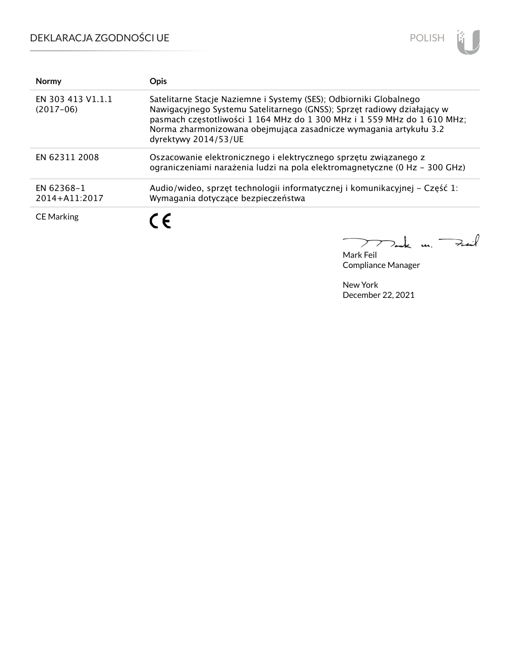# DEKLARACJA ZGODNOŚCI UE



| <b>Normy</b>                     | Opis                                                                                                                                                                                                                                                                                                                  |
|----------------------------------|-----------------------------------------------------------------------------------------------------------------------------------------------------------------------------------------------------------------------------------------------------------------------------------------------------------------------|
| EN 303 413 V1.1.1<br>$(2017-06)$ | Satelitarne Stacje Naziemne i Systemy (SES); Odbiorniki Globalnego<br>Nawigacyjnego Systemu Satelitarnego (GNSS); Sprzęt radiowy działający w<br>pasmach częstotliwości 1 164 MHz do 1 300 MHz i 1 559 MHz do 1 610 MHz;<br>Norma zharmonizowana obejmująca zasadnicze wymagania artykułu 3.2<br>dyrektywy 2014/53/UE |
| EN 62311 2008                    | Oszacowanie elektronicznego i elektrycznego sprzętu związanego z<br>ograniczeniami narażenia ludzi na pola elektromagnetyczne (0 Hz – 300 GHz)                                                                                                                                                                        |
| EN 62368-1<br>2014+A11:2017      | Audio/wideo, sprzęt technologii informatycznej i komunikacyjnej - Część 1:<br>Wymagania dotyczące bezpieczeństwa                                                                                                                                                                                                      |
| <b>CE Marking</b>                | C F                                                                                                                                                                                                                                                                                                                   |

Mark Feil un Feuil

Compliance Manager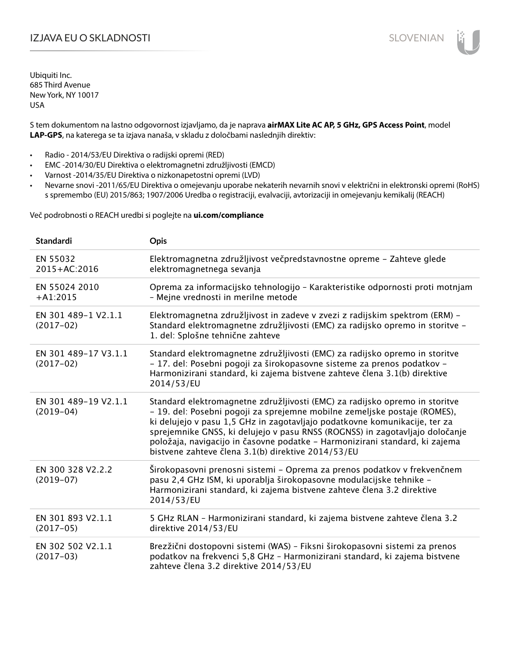## IZJAVA EU O SKLADNOSTI SLOVENIAN

Ubiquiti Inc. 685 Third Avenue New York, NY 10017 USA

S tem dokumentom na lastno odgovornost izjavljamo, da je naprava **airMAX Lite AC AP, 5 GHz, GPS Access Point**, model **LAP-GPS**, na katerega se ta izjava nanaša, v skladu z določbami naslednjih direktiv:

- Radio 2014/53/EU Direktiva o radijski opremi (RED)
- EMC -2014/30/EU Direktiva o elektromagnetni združljivosti (EMCD)
- Varnost -2014/35/EU Direktiva o nizkonapetostni opremi (LVD)
- Nevarne snovi -2011/65/EU Direktiva o omejevanju uporabe nekaterih nevarnih snovi v električni in elektronski opremi (RoHS) s spremembo (EU) 2015/863; 1907/2006 Uredba o registraciji, evalvaciji, avtorizaciji in omejevanju kemikalij (REACH)

Več podrobnosti o REACH uredbi si poglejte na **ui.com/compliance**

| Standardi                           | Opis                                                                                                                                                                                                                                                                                                                                                                                                                                                        |
|-------------------------------------|-------------------------------------------------------------------------------------------------------------------------------------------------------------------------------------------------------------------------------------------------------------------------------------------------------------------------------------------------------------------------------------------------------------------------------------------------------------|
| EN 55032<br>2015+AC:2016            | Elektromagnetna združljivost večpredstavnostne opreme - Zahteve glede<br>elektromagnetnega sevanja                                                                                                                                                                                                                                                                                                                                                          |
| EN 55024 2010<br>$+A1:2015$         | Oprema za informacijsko tehnologijo - Karakteristike odpornosti proti motnjam<br>- Mejne vrednosti in merilne metode                                                                                                                                                                                                                                                                                                                                        |
| EN 301 489-1 V2.1.1<br>$(2017-02)$  | Elektromagnetna združljivost in zadeve v zvezi z radijskim spektrom (ERM) -<br>Standard elektromagnetne združljivosti (EMC) za radijsko opremo in storitve -<br>1. del: Splošne tehnične zahteve                                                                                                                                                                                                                                                            |
| EN 301 489-17 V3.1.1<br>$(2017-02)$ | Standard elektromagnetne združljivosti (EMC) za radijsko opremo in storitve<br>- 17. del: Posebni pogoji za širokopasovne sisteme za prenos podatkov -<br>Harmonizirani standard, ki zajema bistvene zahteve člena 3.1(b) direktive<br>2014/53/EU                                                                                                                                                                                                           |
| EN 301 489-19 V2.1.1<br>$(2019-04)$ | Standard elektromagnetne združljivosti (EMC) za radijsko opremo in storitve<br>- 19. del: Posebni pogoji za sprejemne mobilne zemeljske postaje (ROMES),<br>ki delujejo v pasu 1,5 GHz in zagotavljajo podatkovne komunikacije, ter za<br>sprejemnike GNSS, ki delujejo v pasu RNSS (ROGNSS) in zagotavljajo določanje<br>položaja, navigacijo in časovne podatke - Harmonizirani standard, ki zajema<br>bistvene zahteve člena 3.1(b) direktive 2014/53/EU |
| EN 300 328 V2.2.2<br>$(2019-07)$    | Širokopasovni prenosni sistemi – Oprema za prenos podatkov v frekvenčnem<br>pasu 2,4 GHz ISM, ki uporablja širokopasovne modulacijske tehnike -<br>Harmonizirani standard, ki zajema bistvene zahteve člena 3.2 direktive<br>2014/53/EU                                                                                                                                                                                                                     |
| EN 301 893 V2.1.1<br>$(2017-05)$    | 5 GHz RLAN - Harmonizirani standard, ki zajema bistvene zahteve člena 3.2<br>direktive 2014/53/EU                                                                                                                                                                                                                                                                                                                                                           |
| EN 302 502 V2.1.1<br>$(2017-03)$    | Brezžični dostopovni sistemi (WAS) - Fiksni širokopasovni sistemi za prenos<br>podatkov na frekvenci 5,8 GHz - Harmonizirani standard, ki zajema bistvene<br>zahteve člena 3.2 direktive 2014/53/EU                                                                                                                                                                                                                                                         |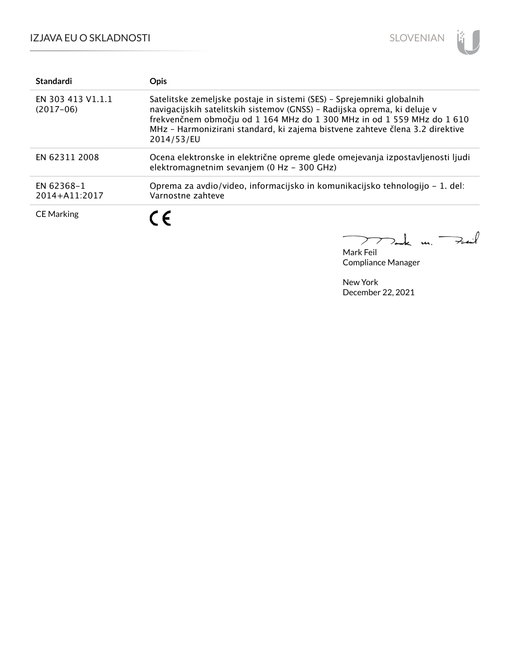

| Standardi                        | <b>Opis</b>                                                                                                                                                                                                                                                                                                               |
|----------------------------------|---------------------------------------------------------------------------------------------------------------------------------------------------------------------------------------------------------------------------------------------------------------------------------------------------------------------------|
| EN 303 413 V1.1.1<br>$(2017-06)$ | Satelitske zemeljske postaje in sistemi (SES) - Sprejemniki globalnih<br>navigacijskih satelitskih sistemov (GNSS) - Radijska oprema, ki deluje v<br>frekvenčnem območju od 1 164 MHz do 1 300 MHz in od 1 559 MHz do 1 610<br>MHz - Harmonizirani standard, ki zajema bistvene zahteve člena 3.2 direktive<br>2014/53/EU |
| EN 62311 2008                    | Ocena elektronske in električne opreme glede omejevanja izpostavljenosti ljudi<br>elektromagnetnim sevanjem (0 Hz - 300 GHz)                                                                                                                                                                                              |
| EN 62368-1<br>2014+A11:2017      | Oprema za avdio/video, informacijsko in komunikacijsko tehnologijo – 1. del:<br>Varnostne zahteve                                                                                                                                                                                                                         |
| <b>CE Marking</b>                | C E                                                                                                                                                                                                                                                                                                                       |

Mak m. Fail Mark Feil Compliance Manager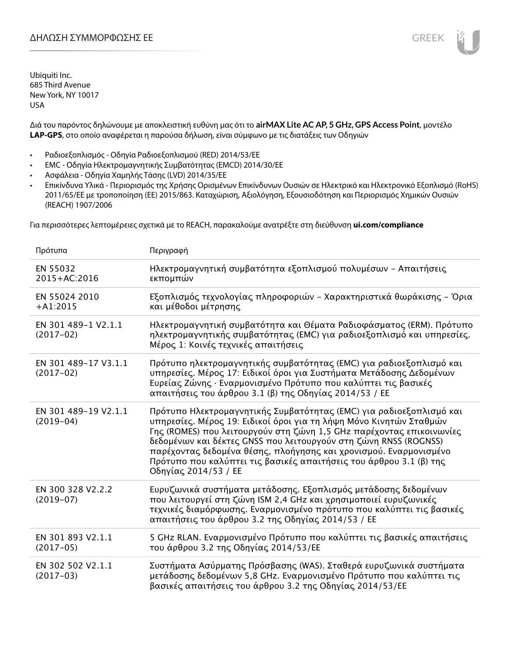Διά του παρόντος δηλώνουμε με αποκλειστική ευθύνη μας ότι το **airMAX Lite AC AP, 5 GHz, GPS Access Point**, μοντέλο **LAP-GPS**, στο οποίο αναφέρεται η παρούσα δήλωση, είναι σύμφωνο με τις διατάξεις των Οδηγιών

- Ραδιοεξοπλισμός Οδηγία Ραδιοεξοπλισμού (RED) 2014/53/ΕΕ
- EMC Οδηγία Ηλεκτρομαγνητικής Συμβατότητας (EMCD) 2014/30/ΕΕ
- Ασφάλεια Οδηγία Χαμηλής Τάσης (LVD) 2014/35/ΕΕ
- Επικίνδυνα Υλικά Περιορισμός της Χρήσης Ορισμένων Επικίνδυνων Ουσιών σε Ηλεκτρικό και Ηλεκτρονικό Εξοπλισμό (RoHS) 2011/65/ΕΕ με τροποποίηση (ΕΕ) 2015/863. Καταχώριση, Αξιολόγηση, Εξουσιοδότηση και Περιορισμός Χημικών Ουσιών (REACH) 1907/2006

Για περισσότερες λεπτομέρειες σχετικά με το REACH, παρακαλούμε ανατρέξτε στη διεύθυνση **ui.com/compliance**

| Πρότυπα                             | Περιγραφή                                                                                                                                                                                                                                                                                                                                                                                                                                                |
|-------------------------------------|----------------------------------------------------------------------------------------------------------------------------------------------------------------------------------------------------------------------------------------------------------------------------------------------------------------------------------------------------------------------------------------------------------------------------------------------------------|
| EN 55032<br>2015+AC:2016            | Ηλεκτρομαγνητική συμβατότητα εξοπλισμού πολυμέσων - Απαιτήσεις<br>εκπομπών                                                                                                                                                                                                                                                                                                                                                                               |
| EN 55024 2010<br>$+A1:2015$         | Εξοπλισμός τεχνολογίας πληροφοριών - Χαρακτηριστικά θωράκισης - Όρια<br>και μέθοδοι μέτρησης                                                                                                                                                                                                                                                                                                                                                             |
| EN 301 489-1 V2.1.1<br>$(2017-02)$  | Ηλεκτρομαγνητική συμβατότητα και Θέματα Ραδιοφάσματος (ERM). Πρότυπο<br>ηλεκτρομαγνητικής συμβατότητας (EMC) για ραδιοεξοπλισμό και υπηρεσίες.<br>Μέρος 1: Κοινές τεχνικές απαιτήσεις                                                                                                                                                                                                                                                                    |
| EN 301 489-17 V3.1.1<br>$(2017-02)$ | Πρότυπο ηλεκτρομαγνητικής συμβατότητας (ΕΜC) για ραδιοεξοπλισμό και<br>υπηρεσίες. Μέρος 17: Ειδικοί όροι για Συστήματα Μετάδοσης Δεδομένων<br>Ευρείας Ζώνης · Εναρμονισμένο Πρότυπο που καλύπτει τις βασικές<br>απαιτήσεις του άρθρου 3.1 (β) της Οδηγίας 2014/53 / ΕΕ                                                                                                                                                                                   |
| EN 301 489-19 V2.1.1<br>$(2019-04)$ | Πρότυπο Ηλεκτρομαγνητικής Συμβατότητας (ΕΜC) για ραδιοεξοπλισμό και<br>υπηρεσίες. Μέρος 19: Ειδικοί όροι για τη λήψη Μόνο Κινητών Σταθμών<br>Γης (ROMES) που λειτουργούν στη ζώνη 1,5 GHz παρέχοντας επικοινωνίες<br>δεδομένων και δέκτες GNSS που λειτουργούν στη ζώνη RNSS (ROGNSS)<br>παρέχοντας δεδομένα θέσης, πλοήγησης και χρονισμού. Εναρμονισμένο<br>Πρότυπο που καλύπτει τις βασικές απαιτήσεις του άρθρου 3.1 (β) της<br>Οδηγίας 2014/53 / ΕΕ |
| EN 300 328 V2.2.2<br>$(2019-07)$    | Ευρυζωνικά συστήματα μετάδοσης. Εξοπλισμός μετάδοσης δεδομένων<br>που λειτουργεί στη ζώνη ISM 2,4 GHz και χρησιμοποιεί ευρυζωνικές<br>τεχνικές διαμόρφωσης. Εναρμονισμένο πρότυπο που καλύπτει τις βασικές<br>απαιτήσεις του άρθρου 3.2 της Οδηγίας 2014/53 / ΕΕ                                                                                                                                                                                         |
| EN 301 893 V2.1.1<br>$(2017-05)$    | 5 GHz RLAN. Εναρμονισμένο Πρότυπο που καλύπτει τις βασικές απαιτήσεις<br>του άρθρου 3.2 της Οδηγίας 2014/53/ΕΕ                                                                                                                                                                                                                                                                                                                                           |
| EN 302 502 V2.1.1<br>$(2017-03)$    | Συστήματα Ασύρματης Πρόσβασης (WAS). Σταθερά ευρυζωνικά συστήματα<br>μετάδοσης δεδομένων 5,8 GHz. Εναρμονισμένο Πρότυπο που καλύπτει τις<br>βασικές απαιτήσεις του άρθρου 3.2 της Οδηγίας 2014/53/ΕΕ                                                                                                                                                                                                                                                     |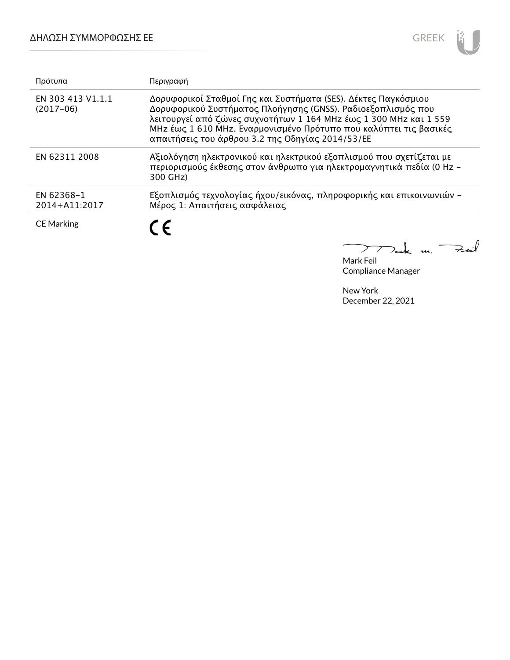

| Πρότυπα                          | Περιγραφή                                                                                                                                                                                                                                                                                                                    |
|----------------------------------|------------------------------------------------------------------------------------------------------------------------------------------------------------------------------------------------------------------------------------------------------------------------------------------------------------------------------|
| EN 303 413 V1.1.1<br>$(2017-06)$ | Δορυφορικοί Σταθμοί Γης και Συστήματα (SES). Δέκτες Παγκόσμιου<br>Δορυφορικού Συστήματος Πλοήγησης (GNSS). Ραδιοεξοπλισμός που<br>λειτουργεί από ζώνες συχνοτήτων 1 164 ΜΗz έως 1 300 ΜΗz και 1 559<br>MHz έως 1 610 MHz. Εναρμονισμένο Πρότυπο που καλύπτει τις βασικές<br>απαιτήσεις του άρθρου 3.2 της Οδηγίας 2014/53/ΕΕ |
| EN 62311 2008                    | Αξιολόγηση ηλεκτρονικού και ηλεκτρικού εξοπλισμού που σχετίζεται με<br>περιορισμούς έκθεσης στον άνθρωπο για ηλεκτρομαγνητικά πεδία (0 Hz -<br>300 GHz)                                                                                                                                                                      |
| EN 62368-1<br>2014+A11:2017      | Εξοπλισμός τεχνολογίας ήχου/εικόνας, πληροφορικής και επικοινωνιών -<br>Μέρος 1: Απαιτήσεις ασφάλειας                                                                                                                                                                                                                        |
| <b>CE Marking</b>                | $\epsilon$                                                                                                                                                                                                                                                                                                                   |
|                                  |                                                                                                                                                                                                                                                                                                                              |

Mark Feil Compliance Manager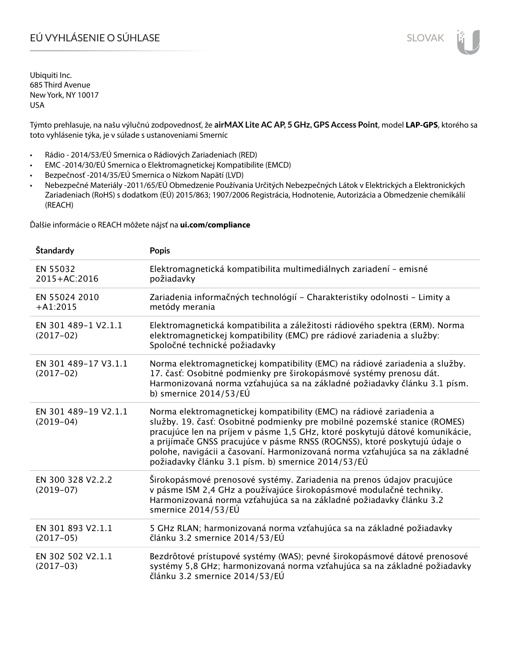# EÚ VYHLÁSENIE O SÚHLASE SLOVAK SLOVAK

Ubiquiti Inc. 685 Third Avenue New York, NY 10017 USA

Týmto prehlasuje, na našu výlučnú zodpovednosť, že **airMAX Lite AC AP, 5 GHz, GPS Access Point**, model **LAP-GPS**, ktorého sa toto vyhlásenie týka, je v súlade s ustanoveniami Smerníc

- Rádio 2014/53/EÚ Smernica o Rádiových Zariadeniach (RED)
- EMC -2014/30/EÚ Smernica o Elektromagnetickej Kompatibilite (EMCD)
- Bezpečnosť -2014/35/EÚ Smernica o Nízkom Napätí (LVD)
- Nebezpečné Materiály -2011/65/EÚ Obmedzenie Používania Určitých Nebezpečných Látok v Elektrických a Elektronických Zariadeniach (RoHS) s dodatkom (EÚ) 2015/863; 1907/2006 Registrácia, Hodnotenie, Autorizácia a Obmedzenie chemikálií (REACH)

Ďalšie informácie o REACH môžete nájsť na **ui.com/compliance**

| Štandardy                           | <b>Popis</b>                                                                                                                                                                                                                                                                                                                                                                                                                                        |
|-------------------------------------|-----------------------------------------------------------------------------------------------------------------------------------------------------------------------------------------------------------------------------------------------------------------------------------------------------------------------------------------------------------------------------------------------------------------------------------------------------|
| EN 55032<br>2015+AC:2016            | Elektromagnetická kompatibilita multimediálnych zariadení - emisné<br>požiadavky                                                                                                                                                                                                                                                                                                                                                                    |
| EN 55024 2010<br>$+A1:2015$         | Zariadenia informačných technológií – Charakteristiky odolnosti – Limity a<br>metódy merania                                                                                                                                                                                                                                                                                                                                                        |
| EN 301 489-1 V2.1.1<br>$(2017-02)$  | Elektromagnetická kompatibilita a záležitosti rádiového spektra (ERM). Norma<br>elektromagnetickej kompatibility (EMC) pre rádiové zariadenia a služby:<br>Spoločné technické požiadavky                                                                                                                                                                                                                                                            |
| EN 301 489-17 V3.1.1<br>$(2017-02)$ | Norma elektromagnetickej kompatibility (EMC) na rádiové zariadenia a služby.<br>17. časť: Osobitné podmienky pre širokopásmové systémy prenosu dát.<br>Harmonizovaná norma vzťahujúca sa na základné požiadavky článku 3.1 písm.<br>b) smernice $2014/53/EU$                                                                                                                                                                                        |
| EN 301 489-19 V2.1.1<br>$(2019-04)$ | Norma elektromagnetickej kompatibility (EMC) na rádiové zariadenia a<br>služby. 19. časť: Osobitné podmienky pre mobilné pozemské stanice (ROMES)<br>pracujúce len na príjem v pásme 1,5 GHz, ktoré poskytujú dátové komunikácie,<br>a prijímače GNSS pracujúce v pásme RNSS (ROGNSS), ktoré poskytujú údaje o<br>polohe, navigácii a časovaní. Harmonizovaná norma vzťahujúca sa na základné<br>požiadavky článku 3.1 písm. b) smernice 2014/53/EÚ |
| EN 300 328 V2.2.2<br>$(2019-07)$    | Širokopásmové prenosové systémy. Zariadenia na prenos údajov pracujúce<br>v pásme ISM 2,4 GHz a používajúce širokopásmové modulačné techniky.<br>Harmonizovaná norma vzťahujúca sa na základné požiadavky článku 3.2<br>smernice 2014/53/EÚ                                                                                                                                                                                                         |
| EN 301 893 V2.1.1<br>$(2017-05)$    | 5 GHz RLAN; harmonizovaná norma vzťahujúca sa na základné požiadavky<br>článku 3.2 smernice 2014/53/EÚ                                                                                                                                                                                                                                                                                                                                              |
| EN 302 502 V2.1.1<br>$(2017-03)$    | Bezdrôtové prístupové systémy (WAS); pevné širokopásmové dátové prenosové<br>systémy 5,8 GHz; harmonizovaná norma vzťahujúca sa na základné požiadavky<br>článku 3.2 smernice 2014/53/EÚ                                                                                                                                                                                                                                                            |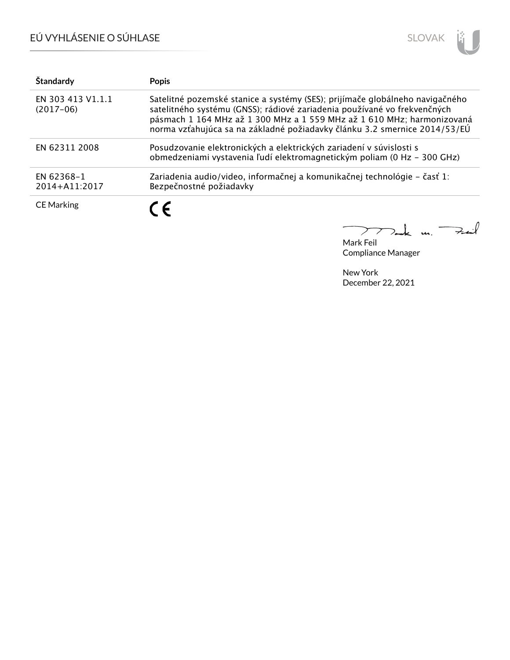# EÚ VYHLÁSENIE O SÚHLASE



| Štandardy                        | <b>Popis</b>                                                                                                                                                                                                                                                                                                    |
|----------------------------------|-----------------------------------------------------------------------------------------------------------------------------------------------------------------------------------------------------------------------------------------------------------------------------------------------------------------|
| EN 303 413 V1.1.1<br>$(2017-06)$ | Satelitné pozemské stanice a systémy (SES); prijímače globálneho navigačného<br>satelitného systému (GNSS); rádiové zariadenia používané vo frekvenčných<br>pásmach 1 164 MHz až 1 300 MHz a 1 559 MHz až 1 610 MHz; harmonizovaná<br>norma vzťahujúca sa na základné požiadavky článku 3.2 smernice 2014/53/EÚ |
| EN 62311 2008                    | Posudzovanie elektronických a elektrických zariadení v súvislosti s<br>obmedzeniami vystavenia ľudí elektromagnetickým poliam (0 Hz - 300 GHz)                                                                                                                                                                  |
| EN 62368-1<br>2014+A11:2017      | Zariadenia audio/video, informačnej a komunikačnej technológie – časť 1:<br>Bezpečnostné požiadavky                                                                                                                                                                                                             |
| <b>CE Marking</b>                | ( F                                                                                                                                                                                                                                                                                                             |

Tak m. Fail  $\overline{\phantom{0}}$  $\sum$ 

Mark Feil Compliance Manager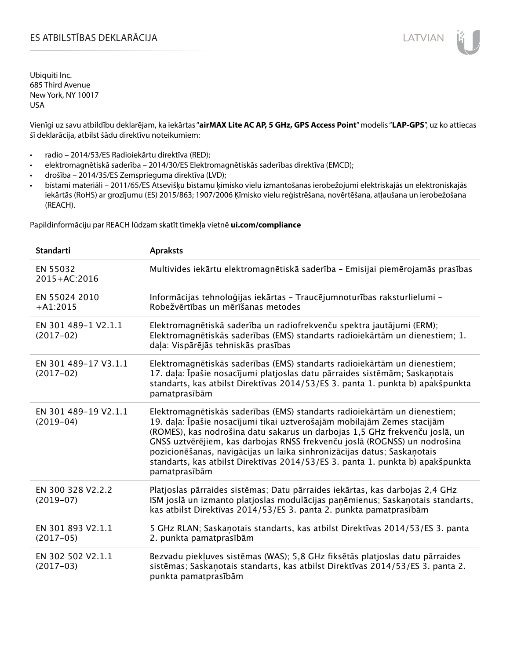Vienīgi uz savu atbildību deklarējam, ka iekārtas "**airMAX Lite AC AP, 5 GHz, GPS Access Point**" modelis "**LAP-GPS**", uz ko attiecas šī deklarācija, atbilst šādu direktīvu noteikumiem:

- radio 2014/53/ES Radioiekārtu direktīva (RED);
- elektromagnētiskā saderība 2014/30/ES Elektromagnētiskās saderības direktīva (EMCD);
- drošība 2014/35/ES Zemsprieguma direktīva (LVD);
- bīstami materiāli 2011/65/ES Atsevišķu bīstamu ķīmisko vielu izmantošanas ierobežojumi elektriskajās un elektroniskajās iekārtās (RoHS) ar grozījumu (ES) 2015/863; 1907/2006 Ķīmisko vielu reģistrēšana, novērtēšana, atļaušana un ierobežošana (REACH).

Papildinformāciju par REACH lūdzam skatīt tīmekļa vietnē **ui.com/compliance**

| <b>Standarti</b>                    | <b>Apraksts</b>                                                                                                                                                                                                                                                                                                                                                                                                                                                                                |
|-------------------------------------|------------------------------------------------------------------------------------------------------------------------------------------------------------------------------------------------------------------------------------------------------------------------------------------------------------------------------------------------------------------------------------------------------------------------------------------------------------------------------------------------|
| EN 55032<br>2015+AC:2016            | Multivides iekārtu elektromagnētiskā saderība - Emisijai piemērojamās prasības                                                                                                                                                                                                                                                                                                                                                                                                                 |
| EN 55024 2010<br>$+A1:2015$         | Informācijas tehnoloģijas iekārtas - Traucējumnoturības raksturlielumi -<br>Robežvērtības un mērīšanas metodes                                                                                                                                                                                                                                                                                                                                                                                 |
| EN 301 489-1 V2.1.1<br>$(2017-02)$  | Elektromagnētiskā saderība un radiofrekvenču spektra jautājumi (ERM);<br>Elektromagnētiskās saderības (EMS) standarts radioiekārtām un dienestiem; 1.<br>daļa: Vispārējās tehniskās prasības                                                                                                                                                                                                                                                                                                   |
| EN 301 489-17 V3.1.1<br>$(2017-02)$ | Elektromagnētiskās saderības (EMS) standarts radioiekārtām un dienestiem;<br>17. dala: Īpašie nosacījumi platjoslas datu pārraides sistēmām; Saskaņotais<br>standarts, kas atbilst Direktīvas 2014/53/ES 3. panta 1. punkta b) apakšpunkta<br>pamatprasībām                                                                                                                                                                                                                                    |
| EN 301 489-19 V2.1.1<br>$(2019-04)$ | Elektromagnētiskās saderības (EMS) standarts radioiekārtām un dienestiem;<br>19. daļa: Īpašie nosacījumi tikai uztverošajām mobilajām Zemes stacijām<br>(ROMES), kas nodrošina datu sakarus un darbojas 1,5 GHz frekvenču joslā, un<br>GNSS uztvērējiem, kas darbojas RNSS frekvenču joslā (ROGNSS) un nodrošina<br>pozicionēšanas, navigācijas un laika sinhronizācijas datus; Saskaņotais<br>standarts, kas atbilst Direktīvas 2014/53/ES 3. panta 1. punkta b) apakšpunkta<br>pamatprasībām |
| EN 300 328 V2.2.2<br>$(2019-07)$    | Platjoslas pārraides sistēmas; Datu pārraides iekārtas, kas darbojas 2,4 GHz<br>ISM joslā un izmanto platjoslas modulācijas paņēmienus; Saskaņotais standarts,<br>kas atbilst Direktīvas 2014/53/ES 3. panta 2. punkta pamatprasībām                                                                                                                                                                                                                                                           |
| EN 301 893 V2.1.1<br>$(2017-05)$    | 5 GHz RLAN; Saskanotais standarts, kas atbilst Direktīvas 2014/53/ES 3. panta<br>2. punkta pamatprasībām                                                                                                                                                                                                                                                                                                                                                                                       |
| EN 302 502 V2.1.1<br>$(2017-03)$    | Bezvadu piekļuves sistēmas (WAS); 5,8 GHz fiksētās platjoslas datu pārraides<br>sistēmas; Saskaņotais standarts, kas atbilst Direktīvas 2014/53/ES 3. panta 2.<br>punkta pamatprasībām                                                                                                                                                                                                                                                                                                         |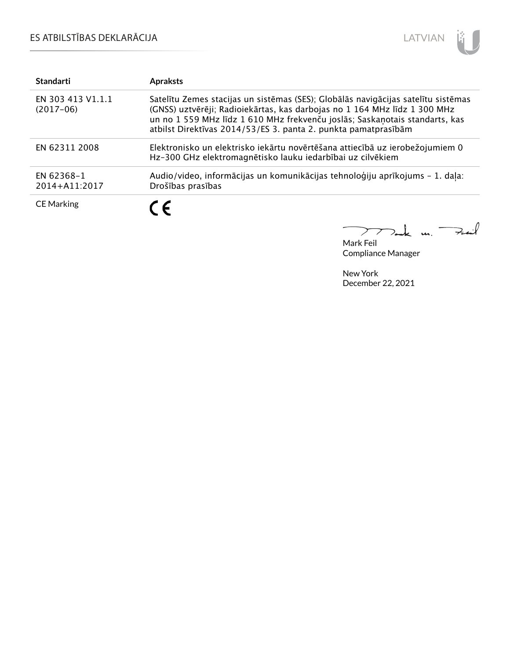## ES ATBILSTĪBAS DEKLARĀCIJA



| <b>Standarti</b>                 | <b>Apraksts</b>                                                                                                                                                                                                                                                                                                 |
|----------------------------------|-----------------------------------------------------------------------------------------------------------------------------------------------------------------------------------------------------------------------------------------------------------------------------------------------------------------|
| EN 303 413 V1.1.1<br>$(2017-06)$ | Satelītu Zemes stacijas un sistēmas (SES); Globālās navigācijas satelītu sistēmas<br>(GNSS) uztvērēji; Radioiekārtas, kas darbojas no 1 164 MHz līdz 1 300 MHz<br>un no 1 559 MHz līdz 1 610 MHz frekvenču joslās; Saskaņotais standarts, kas<br>atbilst Direktīvas 2014/53/ES 3. panta 2. punkta pamatprasībām |
| EN 62311 2008                    | Elektronisko un elektrisko iekārtu novērtēšana attiecībā uz ierobežojumiem 0<br>Hz-300 GHz elektromagnētisko lauku iedarbībai uz cilvēkiem                                                                                                                                                                      |
| EN 62368-1<br>2014+A11:2017      | Audio/video, informācijas un komunikācijas tehnoloģiju aprīkojums - 1. daļa:<br>Drošības prasības                                                                                                                                                                                                               |
| <b>CE Marking</b>                | C E                                                                                                                                                                                                                                                                                                             |

كمنعة  $\overline{\phantom{0}}$  $\frac{1}{2}$  $\sum$ 

Mark Feil Compliance Manager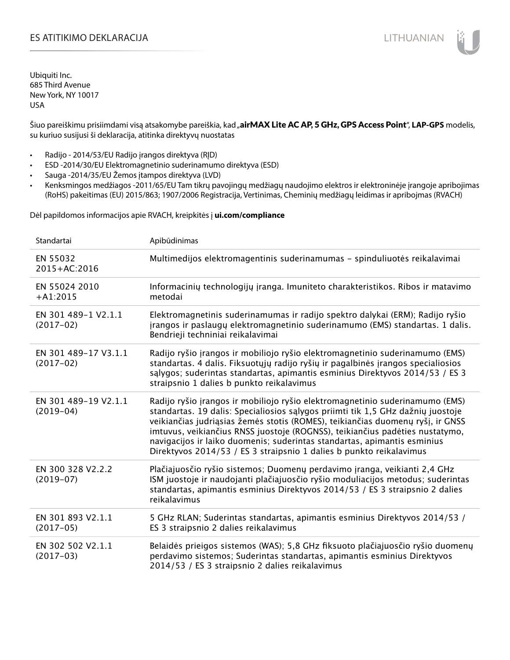## ES ATITIKIMO DEKLARACIJA NA SATITIKIMO DEKLARACIJA NA SATITIKIMO DEKLARACIJA NA SATITIKIMO DE KLARACIJA NA SATI

Ubiquiti Inc. 685 Third Avenue New York, NY 10017 USA

Šiuo pareiškimu prisiimdami visą atsakomybe pareiškia, kad "airMAX Lite AC AP, 5 GHz, GPS Access Point", LAP-GPS modelis, su kuriuo susijusi ši deklaracija, atitinka direktyvų nuostatas

- Radijo 2014/53/EU Radijo įrangos direktyva (RĮD)
- ESD -2014/30/EU Elektromagnetinio suderinamumo direktyva (ESD)
- Sauga -2014/35/EU Žemos įtampos direktyva (LVD)
- Kenksmingos medžiagos -2011/65/EU Tam tikrų pavojingų medžiagų naudojimo elektros ir elektroninėje įrangoje apribojimas (RoHS) pakeitimas (EU) 2015/863; 1907/2006 Registracija, Vertinimas, Cheminių medžiagų leidimas ir apribojmas (RVACH)

Dėl papildomos informacijos apie RVACH, kreipkitės į **ui.com/compliance**

| Standartai                          | Apibūdinimas                                                                                                                                                                                                                                                                                                                                                                                                                                                                         |
|-------------------------------------|--------------------------------------------------------------------------------------------------------------------------------------------------------------------------------------------------------------------------------------------------------------------------------------------------------------------------------------------------------------------------------------------------------------------------------------------------------------------------------------|
| EN 55032<br>2015+AC:2016            | Multimedijos elektromagentinis suderinamumas - spinduliuotės reikalavimai                                                                                                                                                                                                                                                                                                                                                                                                            |
| EN 55024 2010<br>$+A1:2015$         | Informacinių technologijų įranga. Imuniteto charakteristikos. Ribos ir matavimo<br>metodai                                                                                                                                                                                                                                                                                                                                                                                           |
| EN 301 489-1 V2.1.1<br>$(2017-02)$  | Elektromagnetinis suderinamumas ir radijo spektro dalykai (ERM); Radijo ryšio<br>įrangos ir paslaugų elektromagnetinio suderinamumo (EMS) standartas. 1 dalis.<br>Bendrieji techniniai reikalavimai                                                                                                                                                                                                                                                                                  |
| EN 301 489-17 V3.1.1<br>$(2017-02)$ | Radijo ryšio įrangos ir mobiliojo ryšio elektromagnetinio suderinamumo (EMS)<br>standartas. 4 dalis. Fiksuotųjų radijo ryšių ir pagalbinės įrangos specialiosios<br>salygos; suderintas standartas, apimantis esminius Direktyvos 2014/53 / ES 3<br>straipsnio 1 dalies b punkto reikalavimus                                                                                                                                                                                        |
| EN 301 489-19 V2.1.1<br>$(2019-04)$ | Radijo ryšio įrangos ir mobiliojo ryšio elektromagnetinio suderinamumo (EMS)<br>standartas. 19 dalis: Specialiosios sąlygos priimti tik 1,5 GHz dažnių juostoje<br>veikiančias judriąsias žemės stotis (ROMES), teikiančias duomenų ryšį, ir GNSS<br>imtuvus, veikiančius RNSS juostoje (ROGNSS), teikiančius padėties nustatymo,<br>navigacijos ir laiko duomenis; suderintas standartas, apimantis esminius<br>Direktyvos 2014/53 / ES 3 straipsnio 1 dalies b punkto reikalavimus |
| EN 300 328 V2.2.2<br>$(2019-07)$    | Plačiajuosčio ryšio sistemos; Duomenų perdavimo įranga, veikianti 2,4 GHz<br>ISM juostoje ir naudojanti plačiajuosčio ryšio moduliacijos metodus; suderintas<br>standartas, apimantis esminius Direktyvos 2014/53 / ES 3 straipsnio 2 dalies<br>reikalavimus                                                                                                                                                                                                                         |
| EN 301 893 V2.1.1<br>$(2017-05)$    | 5 GHz RLAN; Suderintas standartas, apimantis esminius Direktyvos 2014/53 /<br>ES 3 straipsnio 2 dalies reikalavimus                                                                                                                                                                                                                                                                                                                                                                  |
| EN 302 502 V2.1.1<br>$(2017-03)$    | Belaidės prieigos sistemos (WAS); 5,8 GHz fiksuoto plačiajuosčio ryšio duomenų<br>perdavimo sistemos; Suderintas standartas, apimantis esminius Direktyvos<br>2014/53 / ES 3 straipsnio 2 dalies reikalavimus                                                                                                                                                                                                                                                                        |